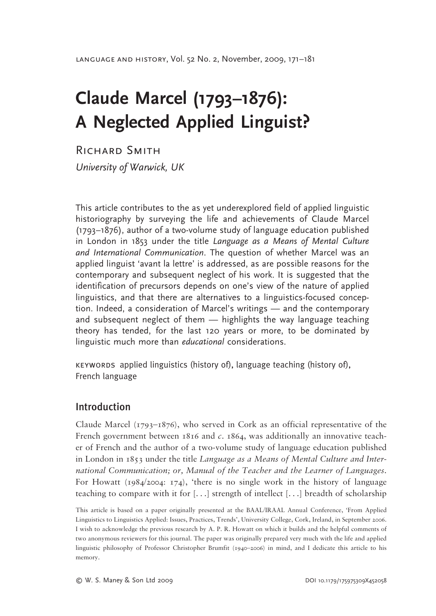# **Claude Marcel (1793–1876): A Neglected Applied Linguist?**

Richard Smith*University of Warwick, UK*

This article contributes to the as yet underexplored field of applied linguistic historiography by surveying the life and achievements of Claude Marcel (1793–1876), author of a two-volume study of language education published in London in 1853 under the title *Language as a Means of Mental Culture and International Communication*. The question of whether Marcel was an applied linguist 'avant la lettre' is addressed, as are possible reasons for the contemporary and subsequent neglect of his work. It is suggested that the identification of precursors depends on one's view of the nature of applied linguistics, and that there are alternatives to a linguistics-focused conception. Indeed, a consideration of Marcel's writings — and the contemporary and subsequent neglect of them — highlights the way language teaching theory has tended, for the last 120 years or more, to be dominated by linguistic much more than *educational* considerations.

keywords applied linguistics (history of), language teaching (history of), French language

## Introduction

Claude Marcel ( $1793-1876$ ), who served in Cork as an official representative of the French government between 1816 and *c.* 1864, was additionally an innovative teacher of French and the author of a two-volume study of language education published in London in 1853 under the title *Language as a Means of Mental Culture and International Communication; or, Manual of the Teacher and the Learner of Languages*. For Howatt  $(1984/2004: 174)$ , 'there is no single work in the history of language teaching to compare with it for  $[\ldots]$  strength of intellect  $[\ldots]$  breadth of scholarship

This article is based on a paper originally presented at the BAAL/IRAAL Annual Conference, 'From Applied Linguistics to Linguistics Applied: Issues, Practices, Trends', University College, Cork, Ireland, in September 2006. I wish to acknowledge the previous research by A. P. R. Howatt on which it builds and the helpful comments of two anonymous reviewers for this journal. The paper was originally prepared very much with the life and applied linguistic philosophy of Professor Christopher Brumfit (1940–2006) in mind, and I dedicate this article to his memory.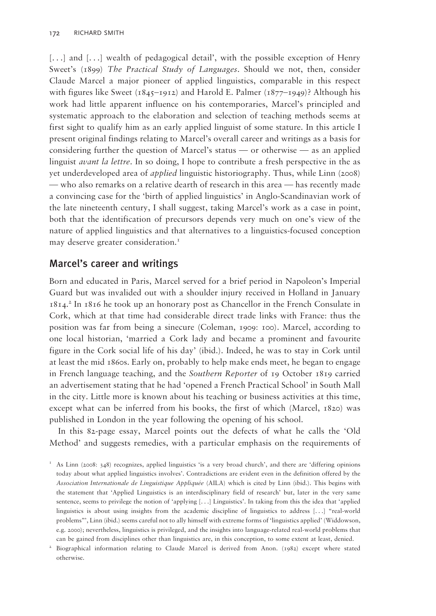$[\ldots]$  and  $[\ldots]$  wealth of pedagogical detail', with the possible exception of Henry Sweet's (1899) *The Practical Study of Languages*. Should we not, then, consider Claude Marcel a major pioneer of applied linguistics, comparable in this respect with figures like Sweet (1845–1912) and Harold E. Palmer (1877–1949)? Although his work had little apparent influence on his contemporaries, Marcel's principled and systematic approach to the elaboration and selection of teaching methods seems at first sight to qualify him as an early applied linguist of some stature. In this article I present original findings relating to Marcel's overall career and writings as a basis for considering further the question of Marcel's status — or otherwise — as an applied linguist *avant la lettre*. In so doing, I hope to contribute a fresh perspective in the as yet underdeveloped area of *applied* linguistic historiography. Thus, while Linn (2008) — who also remarks on a relative dearth of research in this area — has recently made a convincing case for the 'birth of applied linguistics' in Anglo-Scandinavian work of the late nineteenth century, I shall suggest, taking Marcel's work as a case in point, both that the identification of precursors depends very much on one's view of the nature of applied linguistics and that alternatives to a linguistics-focused conception may deserve greater consideration.<sup>1</sup>

## Marcel's career and writings

Born and educated in Paris, Marcel served for a brief period in Napoleon's Imperial Guard but was invalided out with a shoulder injury received in Holland in January 1814.<sup>2</sup> In 1816 he took up an honorary post as Chancellor in the French Consulate in Cork, which at that time had considerable direct trade links with France: thus the position was far from being a sinecure (Coleman, 1909: 100). Marcel, according to one local historian, 'married a Cork lady and became a prominent and favourite figure in the Cork social life of his day' (ibid.). Indeed, he was to stay in Cork until at least the mid 1860s. Early on, probably to help make ends meet, he began to engage in French language teaching, and the *Southern Reporter* of 19 October 1819 carried an advertisement stating that he had 'opened a French Practical School' in South Mall in the city. Little more is known about his teaching or business activities at this time, except what can be inferred from his books, the first of which (Marcel, 1820) was published in London in the year following the opening of his school.

In this 82-page essay, Marcel points out the defects of what he calls the 'Old Method' and suggests remedies, with a particular emphasis on the requirements of

<sup>1</sup> As Linn (2008: 348) recognizes, applied linguistics 'is a very broad church', and there are 'differing opinions today about what applied linguistics involves'. Contradictions are evident even in the definition offered by the *Association Internationale de Linguistique Appliquée* (AILA) which is cited by Linn (ibid.). This begins with the statement that 'Applied Linguistics is an interdisciplinary field of research' but, later in the very same sentence, seems to privilege the notion of 'applying [. . .] Linguistics'. In taking from this the idea that 'applied linguistics is about using insights from the academic discipline of linguistics to address [. . .] "real-world problems"', Linn (ibid.) seems careful not to ally himself with extreme forms of 'linguistics applied' (Widdowson, e.g. 2000); nevertheless, linguistics is privileged, and the insights into language-related real-world problems that can be gained from disciplines other than linguistics are, in this conception, to some extent at least, denied.

<sup>2</sup> Biographical information relating to Claude Marcel is derived from Anon. (1982) except where stated otherwise.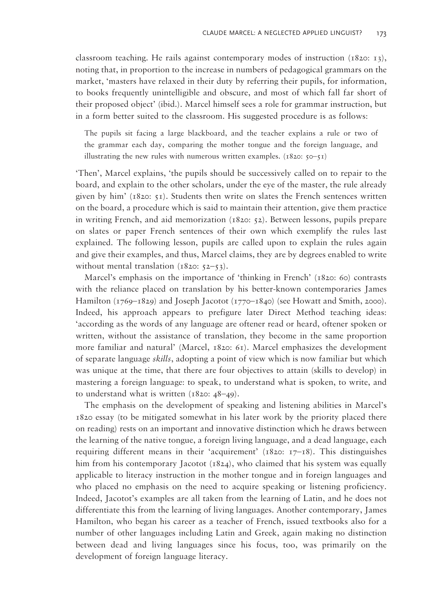classroom teaching. He rails against contemporary modes of instruction  $(1820: 13)$ , noting that, in proportion to the increase in numbers of pedagogical grammars on the market, 'masters have relaxed in their duty by referring their pupils, for information, to books frequently unintelligible and obscure, and most of which fall far short of their proposed object' (ibid.). Marcel himself sees a role for grammar instruction, but in a form better suited to the classroom. His suggested procedure is as follows:

The pupils sit facing a large blackboard, and the teacher explains a rule or two of the grammar each day, comparing the mother tongue and the foreign language, and illustrating the new rules with numerous written examples.  $(1820: 50-51)$ 

'Then', Marcel explains, 'the pupils should be successively called on to repair to the board, and explain to the other scholars, under the eye of the master, the rule already given by him'  $(1820: 51)$ . Students then write on slates the French sentences written on the board, a procedure which is said to maintain their attention, give them practice in writing French, and aid memorization (1820: 52). Between lessons, pupils prepare on slates or paper French sentences of their own which exemplify the rules last explained. The following lesson, pupils are called upon to explain the rules again and give their examples, and thus, Marcel claims, they are by degrees enabled to write without mental translation  $(1820: 52-53)$ .

Marcel's emphasis on the importance of 'thinking in French' (1820: 60) contrasts with the reliance placed on translation by his better-known contemporaries James Hamilton (1769–1829) and Joseph Jacotot (1770–1840) (see Howatt and Smith, 2000). Indeed, his approach appears to prefigure later Direct Method teaching ideas: 'according as the words of any language are oftener read or heard, oftener spoken or written, without the assistance of translation, they become in the same proportion more familiar and natural' (Marcel, 1820: 61). Marcel emphasizes the development of separate language *skills*, adopting a point of view which is now familiar but which was unique at the time, that there are four objectives to attain (skills to develop) in mastering a foreign language: to speak, to understand what is spoken, to write, and to understand what is written  $(1820: 48-49)$ .

The emphasis on the development of speaking and listening abilities in Marcel's 1820 essay (to be mitigated somewhat in his later work by the priority placed there on reading) rests on an important and innovative distinction which he draws between the learning of the native tongue, a foreign living language, and a dead language, each requiring different means in their 'acquirement'  $(1820: 17-18)$ . This distinguishes him from his contemporary Jacotot  $(1824)$ , who claimed that his system was equally applicable to literacy instruction in the mother tongue and in foreign languages and who placed no emphasis on the need to acquire speaking or listening proficiency. Indeed, Jacotot's examples are all taken from the learning of Latin, and he does not differentiate this from the learning of living languages. Another contemporary, James Hamilton, who began his career as a teacher of French, issued textbooks also for a number of other languages including Latin and Greek, again making no distinction between dead and living languages since his focus, too, was primarily on the development of foreign language literacy.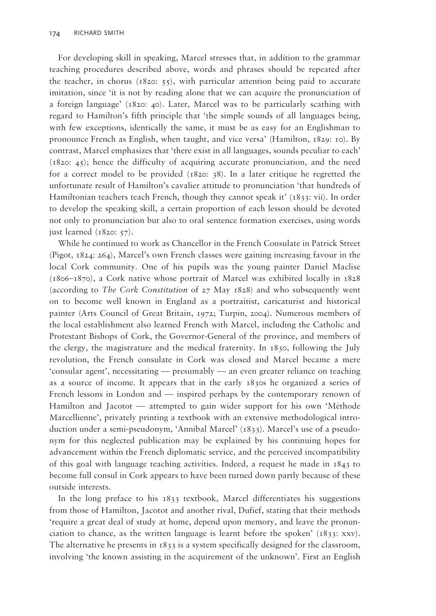For developing skill in speaking, Marcel stresses that, in addition to the grammar teaching procedures described above, words and phrases should be repeated after the teacher, in chorus ( $1820: 55$ ), with particular attention being paid to accurate imitation, since 'it is not by reading alone that we can acquire the pronunciation of a foreign language' (1820: 40). Later, Marcel was to be particularly scathing with regard to Hamilton's fifth principle that 'the simple sounds of all languages being, with few exceptions, identically the same, it must be as easy for an Englishman to pronounce French as English, when taught, and vice versa' (Hamilton, 1829: 10). By contrast, Marcel emphasizes that 'there exist in all languages, sounds peculiar to each'  $(1820: 45)$ ; hence the difficulty of acquiring accurate pronunciation, and the need for a correct model to be provided  $(1820: 38)$ . In a later critique he regretted the unfortunate result of Hamilton's cavalier attitude to pronunciation 'that hundreds of Hamiltonian teachers teach French, though they cannot speak it' (1833: vii). In order to develop the speaking skill, a certain proportion of each lesson should be devoted not only to pronunciation but also to oral sentence formation exercises, using words just learned  $(1820: 57)$ .

While he continued to work as Chancellor in the French Consulate in Patrick Street (Pigot, 1824: 264), Marcel's own French classes were gaining increasing favour in the local Cork community. One of his pupils was the young painter Daniel Maclise (1806–1870), a Cork native whose portrait of Marcel was exhibited locally in 1828 (according to *The Cork Constitution* of 27 May 1828) and who subsequently went on to become well known in England as a portraitist, caricaturist and historical painter (Arts Council of Great Britain, 1972; Turpin, 2004). Numerous members of the local establishment also learned French with Marcel, including the Catholic and Protestant Bishops of Cork, the Governor-General of the province, and members of the clergy, the magistrature and the medical fraternity. In 1830, following the July revolution, the French consulate in Cork was closed and Marcel became a mere 'consular agent', necessitating — presumably — an even greater reliance on teaching as a source of income. It appears that in the early 1830s he organized a series of French lessons in London and — inspired perhaps by the contemporary renown of Hamilton and Jacotot — attempted to gain wider support for his own 'Méthode Marcellienne', privately printing a textbook with an extensive methodological introduction under a semi-pseudonym, 'Annibal Marcel' (1833). Marcel's use of a pseudonym for this neglected publication may be explained by his continuing hopes for advancement within the French diplomatic service, and the perceived incompatibility of this goal with language teaching activities. Indeed, a request he made in 1843 to become full consul in Cork appears to have been turned down partly because of these outside interests.

In the long preface to his 1833 textbook, Marcel differentiates his suggestions from those of Hamilton, Jacotot and another rival, Dufief, stating that their methods 'require a great deal of study at home, depend upon memory, and leave the pronunciation to chance, as the written language is learnt before the spoken' (1833: xxv). The alternative he presents in  $1833$  is a system specifically designed for the classroom, involving 'the known assisting in the acquirement of the unknown'. First an English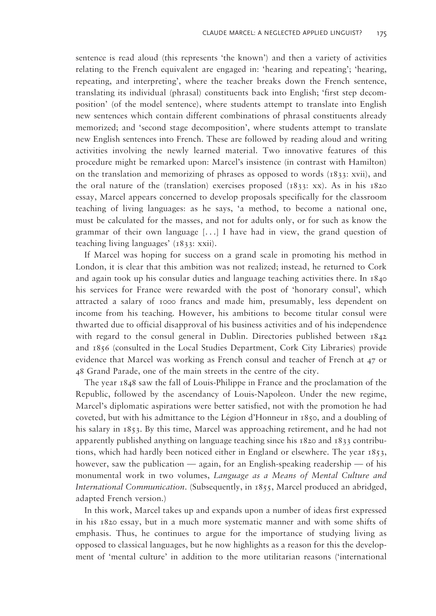sentence is read aloud (this represents 'the known') and then a variety of activities relating to the French equivalent are engaged in: 'hearing and repeating'; 'hearing, repeating, and interpreting', where the teacher breaks down the French sentence, translating its individual (phrasal) constituents back into English; 'first step decomposition' (of the model sentence), where students attempt to translate into English new sentences which contain different combinations of phrasal constituents already memorized; and 'second stage decomposition', where students attempt to translate new English sentences into French. These are followed by reading aloud and writing activities involving the newly learned material. Two innovative features of this procedure might be remarked upon: Marcel's insistence (in contrast with Hamilton) on the translation and memorizing of phrases as opposed to words (1833: xvii), and the oral nature of the (translation) exercises proposed  $(1833: xx)$ . As in his  $1820$ essay, Marcel appears concerned to develop proposals specifically for the classroom teaching of living languages: as he says, 'a method, to become a national one, must be calculated for the masses, and not for adults only, or for such as know the grammar of their own language  $[...]$  I have had in view, the grand question of teaching living languages' (1833: xxii).

If Marcel was hoping for success on a grand scale in promoting his method in London, it is clear that this ambition was not realized; instead, he returned to Cork and again took up his consular duties and language teaching activities there. In 1840 his services for France were rewarded with the post of 'honorary consul', which attracted a salary of 1000 francs and made him, presumably, less dependent on income from his teaching. However, his ambitions to become titular consul were thwarted due to official disapproval of his business activities and of his independence with regard to the consul general in Dublin. Directories published between  $1842$ and 1856 (consulted in the Local Studies Department, Cork City Libraries) provide evidence that Marcel was working as French consul and teacher of French at 47 or 48 Grand Parade, one of the main streets in the centre of the city.

The year 1848 saw the fall of Louis-Philippe in France and the proclamation of the Republic, followed by the ascendancy of Louis-Napoleon. Under the new regime, Marcel's diplomatic aspirations were better satisfied, not with the promotion he had coveted, but with his admittance to the Légion d'Honneur in 1850, and a doubling of his salary in 1853. By this time, Marcel was approaching retirement, and he had not apparently published anything on language teaching since his 1820 and 1833 contributions, which had hardly been noticed either in England or elsewhere. The year 1853, however, saw the publication — again, for an English-speaking readership — of his monumental work in two volumes, *Language as a Means of Mental Culture and International Communication.* (Subsequently, in 1855, Marcel produced an abridged, adapted French version.)

In this work, Marcel takes up and expands upon a number of ideas first expressed in his 1820 essay, but in a much more systematic manner and with some shifts of emphasis. Thus, he continues to argue for the importance of studying living as opposed to classical languages, but he now highlights as a reason for this the development of 'mental culture' in addition to the more utilitarian reasons ('international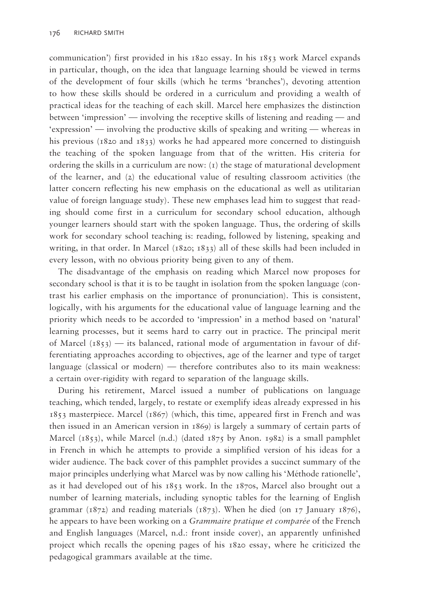communication') first provided in his 1820 essay. In his 1853 work Marcel expands in particular, though, on the idea that language learning should be viewed in terms of the development of four skills (which he terms 'branches'), devoting attention to how these skills should be ordered in a curriculum and providing a wealth of practical ideas for the teaching of each skill. Marcel here emphasizes the distinction between 'impression' — involving the receptive skills of listening and reading — and 'expression' — involving the productive skills of speaking and writing — whereas in his previous (1820 and 1833) works he had appeared more concerned to distinguish the teaching of the spoken language from that of the written. His criteria for ordering the skills in a curriculum are now:  $(r)$  the stage of maturational development of the learner, and (2) the educational value of resulting classroom activities (the latter concern reflecting his new emphasis on the educational as well as utilitarian value of foreign language study). These new emphases lead him to suggest that reading should come first in a curriculum for secondary school education, although younger learners should start with the spoken language. Thus, the ordering of skills work for secondary school teaching is: reading, followed by listening, speaking and writing, in that order. In Marcel (1820; 1833) all of these skills had been included in every lesson, with no obvious priority being given to any of them.

The disadvantage of the emphasis on reading which Marcel now proposes for secondary school is that it is to be taught in isolation from the spoken language (contrast his earlier emphasis on the importance of pronunciation). This is consistent, logically, with his arguments for the educational value of language learning and the priority which needs to be accorded to 'impression' in a method based on 'natural' learning processes, but it seems hard to carry out in practice. The principal merit of Marcel  $(1853)$  — its balanced, rational mode of argumentation in favour of differentiating approaches according to objectives, age of the learner and type of target language (classical or modern) — therefore contributes also to its main weakness: a certain over-rigidity with regard to separation of the language skills.

During his retirement, Marcel issued a number of publications on language teaching, which tended, largely, to restate or exemplify ideas already expressed in his 1853 masterpiece. Marcel (1867) (which, this time, appeared first in French and was then issued in an American version in 1869) is largely a summary of certain parts of Marcel (1853), while Marcel (n.d.) (dated 1875 by Anon. 1982) is a small pamphlet in French in which he attempts to provide a simplified version of his ideas for a wider audience. The back cover of this pamphlet provides a succinct summary of the major principles underlying what Marcel was by now calling his 'Méthode rationelle', as it had developed out of his  $1853$  work. In the  $1870s$ , Marcel also brought out a number of learning materials, including synoptic tables for the learning of English grammar (1872) and reading materials (1873). When he died (on 17 January 1876), he appears to have been working on a *Grammaire pratique et comparée* of the French and English languages (Marcel, n.d.: front inside cover), an apparently unfinished project which recalls the opening pages of his 1820 essay, where he criticized the pedagogical grammars available at the time.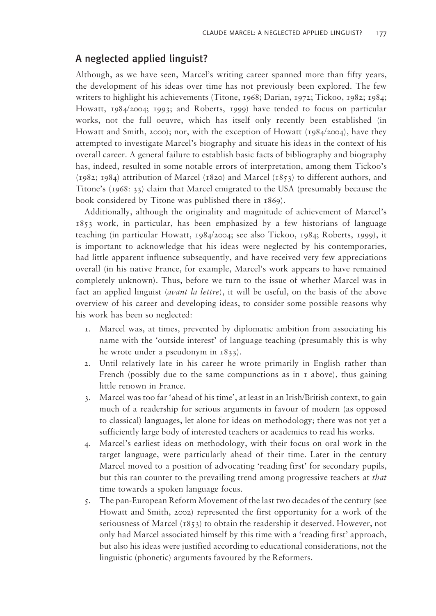## A neglected applied linguist?

Although, as we have seen, Marcel's writing career spanned more than fifty years, the development of his ideas over time has not previously been explored. The few writers to highlight his achievements (Titone, 1968; Darian, 1972; Tickoo, 1982; 1984; Howatt, 1984/2004; 1993; and Roberts, 1999) have tended to focus on particular works, not the full oeuvre, which has itself only recently been established (in Howatt and Smith, 2000); nor, with the exception of Howatt (1984/2004), have they attempted to investigate Marcel's biography and situate his ideas in the context of his overall career. A general failure to establish basic facts of bibliography and biography has, indeed, resulted in some notable errors of interpretation, among them Tickoo's (1982; 1984) attribution of Marcel (1820) and Marcel (1853) to different authors, and Titone's (1968: 33) claim that Marcel emigrated to the USA (presumably because the book considered by Titone was published there in 1869).

Additionally, although the originality and magnitude of achievement of Marcel's 1853 work, in particular, has been emphasized by a few historians of language teaching (in particular Howatt, 1984/2004; see also Tickoo, 1984; Roberts, 1999), it is important to acknowledge that his ideas were neglected by his contemporaries, had little apparent influence subsequently, and have received very few appreciations overall (in his native France, for example, Marcel's work appears to have remained completely unknown). Thus, before we turn to the issue of whether Marcel was in fact an applied linguist (*avant la lettre*), it will be useful, on the basis of the above overview of his career and developing ideas, to consider some possible reasons why his work has been so neglected:

- 1. Marcel was, at times, prevented by diplomatic ambition from associating his name with the 'outside interest' of language teaching (presumably this is why he wrote under a pseudonym in 1833).
- 2. Until relatively late in his career he wrote primarily in English rather than French (possibly due to the same compunctions as in  $\tau$  above), thus gaining little renown in France.
- 3. Marcel was too far 'ahead of his time', at least in an Irish/British context, to gain much of a readership for serious arguments in favour of modern (as opposed to classical) languages, let alone for ideas on methodology; there was not yet a sufficiently large body of interested teachers or academics to read his works.
- 4. Marcel's earliest ideas on methodology, with their focus on oral work in the target language, were particularly ahead of their time. Later in the century Marcel moved to a position of advocating 'reading first' for secondary pupils, but this ran counter to the prevailing trend among progressive teachers at *that* time towards a spoken language focus.
- 5. The pan-European Reform Movement of the last two decades of the century (see Howatt and Smith, 2002) represented the first opportunity for a work of the seriousness of Marcel (1853) to obtain the readership it deserved. However, not only had Marcel associated himself by this time with a 'reading first' approach, but also his ideas were justified according to educational considerations, not the linguistic (phonetic) arguments favoured by the Reformers.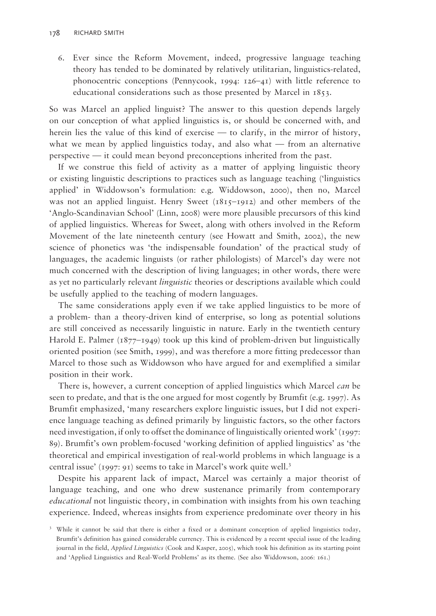6. Ever since the Reform Movement, indeed, progressive language teaching theory has tended to be dominated by relatively utilitarian, linguistics-related, phonocentric conceptions (Pennycook, 1994: 126–41) with little reference to educational considerations such as those presented by Marcel in 1853.

So was Marcel an applied linguist? The answer to this question depends largely on our conception of what applied linguistics is, or should be concerned with, and herein lies the value of this kind of exercise — to clarify, in the mirror of history, what we mean by applied linguistics today, and also what — from an alternative perspective — it could mean beyond preconceptions inherited from the past.

If we construe this field of activity as a matter of applying linguistic theory or existing linguistic descriptions to practices such as language teaching ('linguistics applied' in Widdowson's formulation: e.g. Widdowson, 2000), then no, Marcel was not an applied linguist. Henry Sweet (1815–1912) and other members of the 'Anglo-Scandinavian School' (Linn, 2008) were more plausible precursors of this kind of applied linguistics. Whereas for Sweet, along with others involved in the Reform Movement of the late nineteenth century (see Howatt and Smith, 2002), the new science of phonetics was 'the indispensable foundation' of the practical study of languages, the academic linguists (or rather philologists) of Marcel's day were not much concerned with the description of living languages; in other words, there were as yet no particularly relevant *linguistic* theories or descriptions available which could be usefully applied to the teaching of modern languages.

The same considerations apply even if we take applied linguistics to be more of a problem- than a theory-driven kind of enterprise, so long as potential solutions are still conceived as necessarily linguistic in nature. Early in the twentieth century Harold E. Palmer (1877–1949) took up this kind of problem-driven but linguistically oriented position (see Smith, 1999), and was therefore a more fitting predecessor than Marcel to those such as Widdowson who have argued for and exemplified a similar position in their work.

There is, however, a current conception of applied linguistics which Marcel *can* be seen to predate, and that is the one argued for most cogently by Brumfit (e.g. 1997). As Brumfit emphasized, 'many researchers explore linguistic issues, but I did not experience language teaching as defined primarily by linguistic factors, so the other factors need investigation, if only to offset the dominance of linguistically oriented work' (1997: 89). Brumfit's own problem-focused 'working definition of applied linguistics' as 'the theoretical and empirical investigation of real-world problems in which language is a central issue' (1997: 91) seems to take in Marcel's work quite well.3

Despite his apparent lack of impact, Marcel was certainly a major theorist of language teaching, and one who drew sustenance primarily from contemporary *educational* not linguistic theory, in combination with insights from his own teaching experience. Indeed, whereas insights from experience predominate over theory in his

<sup>&</sup>lt;sup>3</sup> While it cannot be said that there is either a fixed or a dominant conception of applied linguistics today, Brumfit's definition has gained considerable currency. This is evidenced by a recent special issue of the leading journal in the field, *Applied Linguistics* (Cook and Kasper, 2005), which took his definition as its starting point and 'Applied Linguistics and Real-World Problems' as its theme. (See also Widdowson, 2006: 161.)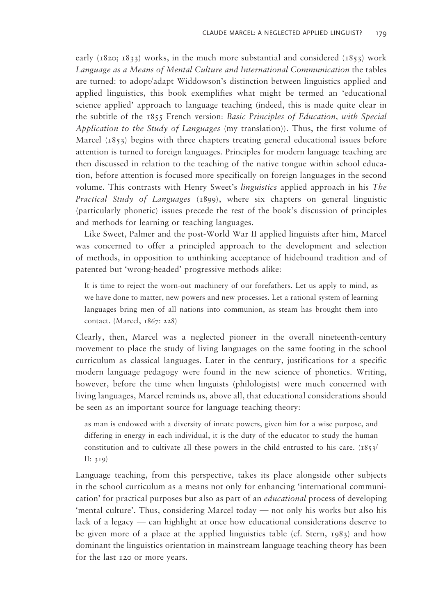early (1820; 1833) works, in the much more substantial and considered (1853) work *Language as a Means of Mental Culture and International Communication* the tables are turned: to adopt/adapt Widdowson's distinction between linguistics applied and applied linguistics, this book exemplifies what might be termed an 'educational science applied' approach to language teaching (indeed, this is made quite clear in the subtitle of the 1855 French version: *Basic Principles of Education, with Special Application to the Study of Languages* (my translation)). Thus, the first volume of Marcel  $(1853)$  begins with three chapters treating general educational issues before attention is turned to foreign languages. Principles for modern language teaching are then discussed in relation to the teaching of the native tongue within school education, before attention is focused more specifically on foreign languages in the second volume. This contrasts with Henry Sweet's *linguistics* applied approach in his *The Practical Study of Languages* (1899), where six chapters on general linguistic (particularly phonetic) issues precede the rest of the book's discussion of principles and methods for learning or teaching languages.

Like Sweet, Palmer and the post-World War II applied linguists after him, Marcel was concerned to offer a principled approach to the development and selection of methods, in opposition to unthinking acceptance of hidebound tradition and of patented but 'wrong-headed' progressive methods alike:

It is time to reject the worn-out machinery of our forefathers. Let us apply to mind, as we have done to matter, new powers and new processes. Let a rational system of learning languages bring men of all nations into communion, as steam has brought them into contact. (Marcel, 1867: 228)

Clearly, then, Marcel was a neglected pioneer in the overall nineteenth-century movement to place the study of living languages on the same footing in the school curriculum as classical languages. Later in the century, justifications for a specific modern language pedagogy were found in the new science of phonetics. Writing, however, before the time when linguists (philologists) were much concerned with living languages, Marcel reminds us, above all, that educational considerations should be seen as an important source for language teaching theory:

as man is endowed with a diversity of innate powers, given him for a wise purpose, and differing in energy in each individual, it is the duty of the educator to study the human constitution and to cultivate all these powers in the child entrusted to his care.  $(1853/$ II: 319)

Language teaching, from this perspective, takes its place alongside other subjects in the school curriculum as a means not only for enhancing 'international communication' for practical purposes but also as part of an *educational* process of developing 'mental culture'. Thus, considering Marcel today — not only his works but also his lack of a legacy — can highlight at once how educational considerations deserve to be given more of a place at the applied linguistics table (cf. Stern, 1983) and how dominant the linguistics orientation in mainstream language teaching theory has been for the last 120 or more years.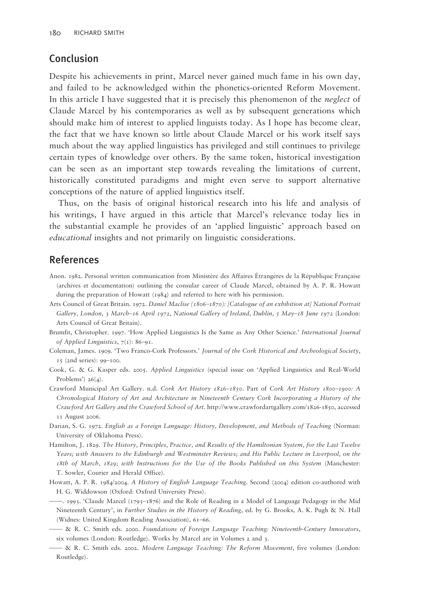#### Conclusion

Despite his achievements in print, Marcel never gained much fame in his own day, and failed to be acknowledged within the phonetics-oriented Reform Movement. In this article I have suggested that it is precisely this phenomenon of the *neglect* of Claude Marcel by his contemporaries as well as by subsequent generations which should make him of interest to applied linguists today. As I hope has become clear, the fact that we have known so little about Claude Marcel or his work itself says much about the way applied linguistics has privileged and still continues to privilege certain types of knowledge over others. By the same token, historical investigation can be seen as an important step towards revealing the limitations of current, historically constituted paradigms and might even serve to support alternative conceptions of the nature of applied linguistics itself.

Thus, on the basis of original historical research into his life and analysis of his writings, I have argued in this article that Marcel's relevance today lies in the substantial example he provides of an 'applied linguistic' approach based on *educational* insights and not primarily on linguistic considerations.

#### References

- Anon. 1982. Personal written communication from Ministère des Affaires Étrangères de la République Française (archives et documentation) outlining the consular career of Claude Marcel, obtained by A. P. R. Howatt during the preparation of Howatt (1984) and referred to here with his permission.
- Arts Council of Great Britain. 1972. *Daniel Maclise (1806–1870): [Catalogue of an exhibition at] National Portrait Gallery, London, 3 March–16 April 1972, National Gallery of Ireland, Dublin, 5 May–18 June 1972* (London: Arts Council of Great Britain).
- Brumfit, Christopher. 1997. 'How Applied Linguistics Is the Same as Any Other Science.' *International Journal of Applied Linguistics*, 7(1): 86–91.
- Coleman, James. 1909. 'Two Franco-Cork Professors.' *Journal of the Cork Historical and Archeological Society*, 15 (2nd series): 99–100.
- Cook, G. & G. Kasper eds. 2005. *Applied Linguistics* (special issue on 'Applied Linguistics and Real-World Problems')  $26(4)$ .
- Crawford Municipal Art Gallery. n.d. *Cork Art History 1826–1850.* Part of *Cork Art History 1800–1900: A Chronological History of Art and Architecture in Nineteenth Century Cork Incorporating a History of the Crawford Art Gallery and the Crawford School of Art*. http://www.crawfordartgallery.com/1826-1850, accessed 11 August 2006.
- Darian, S. G. 1972. *English as a Foreign Language: History, Development, and Methods of Teaching* (Norman: University of Oklahoma Press).
- Hamilton, J. 1829. *The History, Principles, Practice, and Results of the Hamiltonian System, for the Last Twelve Years; with Answers to the Edinburgh and Westminster Reviews; and His Public Lecture in Liverpool, on the 18th of March, 1829; with Instructions for the Use of the Books Published on this System* (Manchester: T. Sowler, Courier and Herald Office).
- Howatt, A. P. R. 1984/2004. *A History of English Language Teaching*. Second (2004) edition co-authored with H. G. Widdowson (Oxford: Oxford University Press).
- ––––. 1993. 'Claude Marcel (1793–1876) and the Role of Reading in a Model of Language Pedagogy in the Mid Nineteenth Century', in *Further Studies in the History of Reading*, ed. by G. Brooks, A. K. Pugh & N. Hall (Widnes: United Kingdom Reading Association), 61–66.
- –––– & R. C. Smith eds. 2000. *Foundations of Foreign Language Teaching: Nineteenth-Century Innovators*, six volumes (London: Routledge). Works by Marcel are in Volumes 2 and 3.
- –––– & R. C. Smith eds. 2002. *Modern Language Teaching: The Reform Movement*, five volumes (London: Routledge).